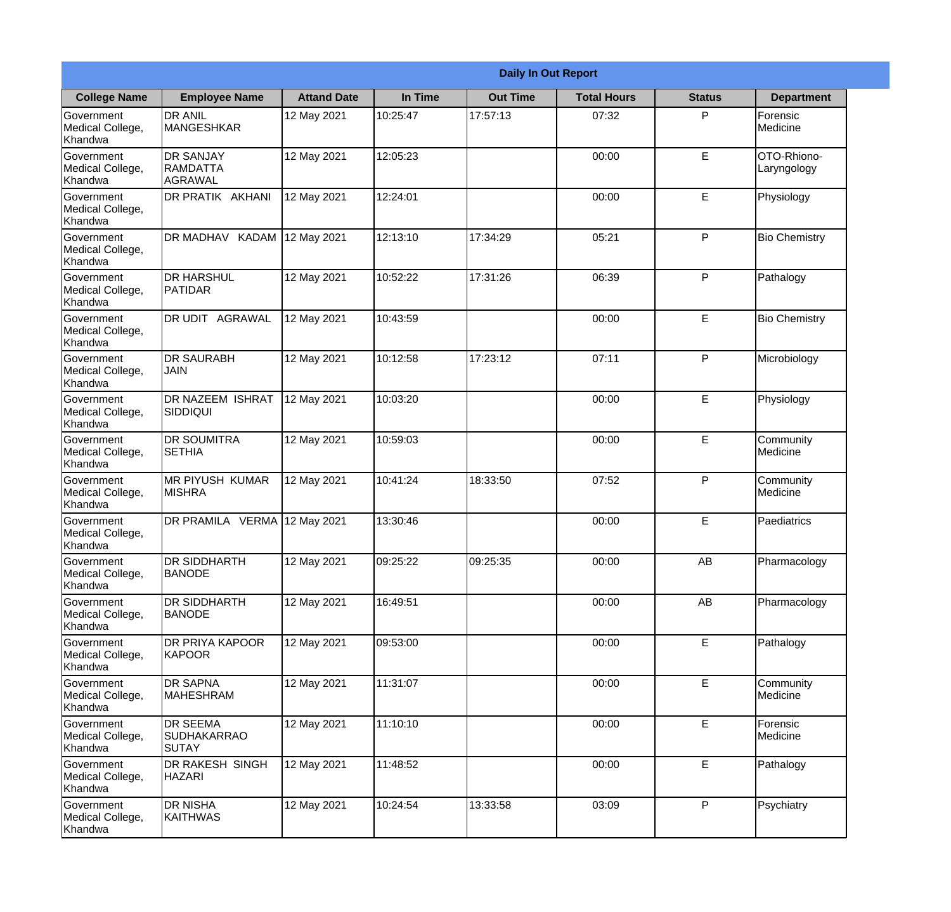|                                                  |                                                |                    |          | <b>Daily In Out Report</b> |                    |               |                              |
|--------------------------------------------------|------------------------------------------------|--------------------|----------|----------------------------|--------------------|---------------|------------------------------|
| <b>College Name</b>                              | <b>Employee Name</b>                           | <b>Attand Date</b> | In Time  | <b>Out Time</b>            | <b>Total Hours</b> | <b>Status</b> | <b>Department</b>            |
| Government<br>Medical College,<br>Khandwa        | <b>DR ANIL</b><br><b>MANGESHKAR</b>            | 12 May 2021        | 10:25:47 | 17:57:13                   | 07:32              | P             | Forensic<br>Medicine         |
| Government<br>Medical College,<br>Khandwa        | <b>DR SANJAY</b><br><b>RAMDATTA</b><br>AGRAWAL | 12 May 2021        | 12:05:23 |                            | 00:00              | $\mathsf E$   | OTO-Rhiono-<br>Laryngology   |
| <b>Government</b><br>Medical College,<br>Khandwa | <b>DR PRATIK AKHANI</b>                        | 12 May 2021        | 12:24:01 |                            | 00:00              | E             | Physiology                   |
| <b>Government</b><br>Medical College,<br>Khandwa | <b>DR MADHAV KADAM</b>                         | 12 May 2021        | 12:13:10 | 17:34:29                   | 05:21              | P             | <b>Bio Chemistry</b>         |
| Government<br>Medical College,<br>Khandwa        | <b>IDR HARSHUL</b><br>PATIDAR                  | 12 May 2021        | 10:52:22 | 17:31:26                   | 06:39              | P             | Pathalogy                    |
| Government<br>Medical College,<br>Khandwa        | <b>DR UDIT AGRAWAL</b>                         | 12 May 2021        | 10:43:59 |                            | 00:00              | $\mathsf E$   | <b>Bio Chemistry</b>         |
| Government<br>Medical College,<br>Khandwa        | <b>DR SAURABH</b><br><b>JAIN</b>               | 12 May 2021        | 10:12:58 | 17:23:12                   | 07:11              | P             | Microbiology                 |
| <b>Government</b><br>Medical College,<br>Khandwa | <b>DR NAZEEM ISHRAT</b><br> SIDDIQUI           | 12 May 2021        | 10:03:20 |                            | 00:00              | E             | Physiology                   |
| Government<br>Medical College,<br>Khandwa        | <b>DR SOUMITRA</b><br><b>SETHIA</b>            | 12 May 2021        | 10:59:03 |                            | 00:00              | E             | Community<br>Medicine        |
| Government<br>Medical College,<br>Khandwa        | <b>MR PIYUSH KUMAR</b><br><b>MISHRA</b>        | 12 May 2021        | 10:41:24 | 18:33:50                   | 07:52              | P             | Community<br><b>Medicine</b> |
| Government<br>Medical College,<br>Khandwa        | DR PRAMILA VERMA 12 May 2021                   |                    | 13:30:46 |                            | 00:00              | E             | Paediatrics                  |
| Government<br>Medical College,<br>Khandwa        | <b>DR SIDDHARTH</b><br><b>BANODE</b>           | 12 May 2021        | 09:25:22 | 09:25:35                   | 00:00              | AB            | Pharmacology                 |
| Government<br>Medical College,<br>Khandwa        | DR SIDDHARTH<br><b>BANODE</b>                  | 12 May 2021        | 16:49:51 |                            | 00:00              | AB            | Pharmacology                 |
| Government<br>Medical College,<br>Khandwa        | <b>DR PRIYA KAPOOR</b><br>KAPOOR               | 12 May 2021        | 09:53:00 |                            | 00:00              | $\mathsf E$   | Pathalogy                    |
| Government<br>Medical College,<br>Khandwa        | <b>DR SAPNA</b><br><b>MAHESHRAM</b>            | 12 May 2021        | 11:31:07 |                            | 00:00              | E             | Community<br>Medicine        |
| Government<br>Medical College,<br>Khandwa        | <b>DR SEEMA</b><br>SUDHAKARRAO<br><b>SUTAY</b> | 12 May 2021        | 11:10:10 |                            | 00:00              | E             | Forensic<br>Medicine         |
| Government<br>Medical College,<br>Khandwa        | DR RAKESH SINGH<br><b>HAZARI</b>               | 12 May 2021        | 11:48:52 |                            | 00:00              | E             | Pathalogy                    |
| Government<br>Medical College,<br>Khandwa        | <b>DR NISHA</b><br>KAITHWAS                    | 12 May 2021        | 10:24:54 | 13:33:58                   | 03:09              | P             | Psychiatry                   |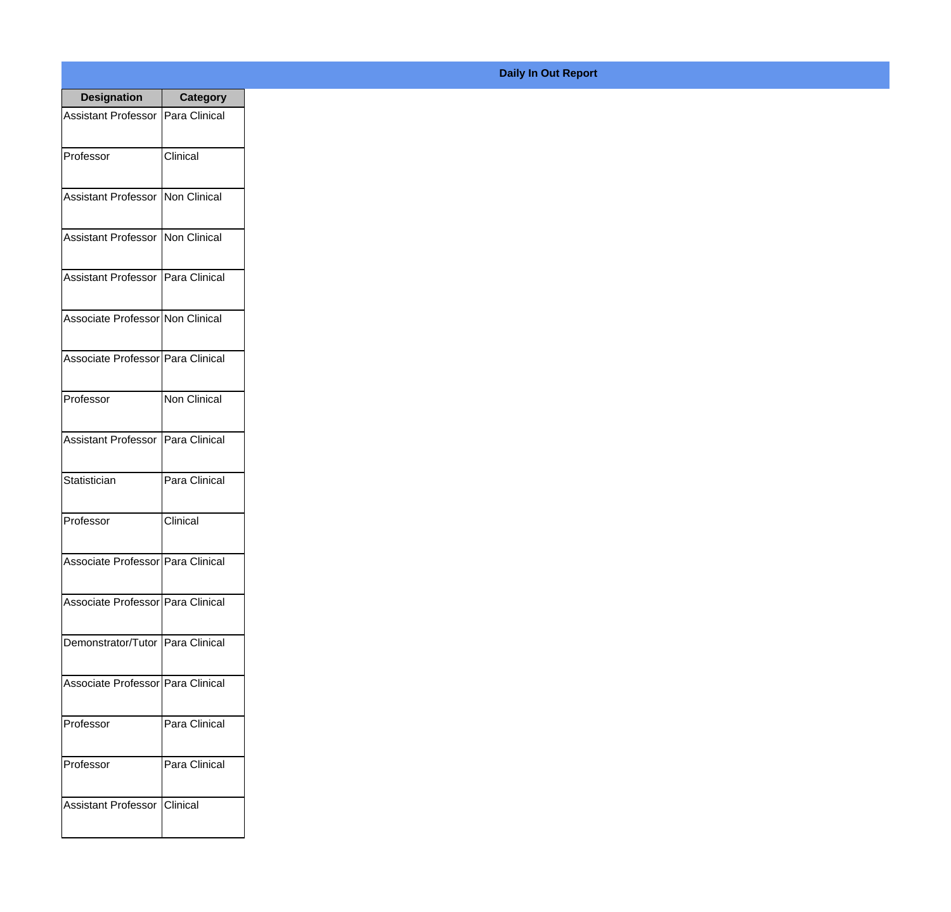| <b>Designation</b>                  | <b>Category</b>     |
|-------------------------------------|---------------------|
| Assistant Professor   Para Clinical |                     |
| Professor                           | Clinical            |
| Assistant Professor   Non Clinical  |                     |
| <b>Assistant Professor</b>          | Non Clinical        |
| Assistant Professor   Para Clinical |                     |
| Associate Professor Non Clinical    |                     |
| Associate Professor   Para Clinical |                     |
| Professor                           | <b>Non Clinical</b> |
| Assistant Professor   Para Clinical |                     |
| Statistician                        | Para Clinical       |
| Professor                           | Clinical            |
| Associate Professor Para Clinical   |                     |
| Associate Professor   Para Clinical |                     |
| Demonstrator/Tutor   Para Clinical  |                     |
| Associate Professor Para Clinical   |                     |
| Professor                           | Para Clinical       |
| Professor                           | Para Clinical       |
| Assistant Professor                 | <b>Clinical</b>     |

## **Daily In Out Report**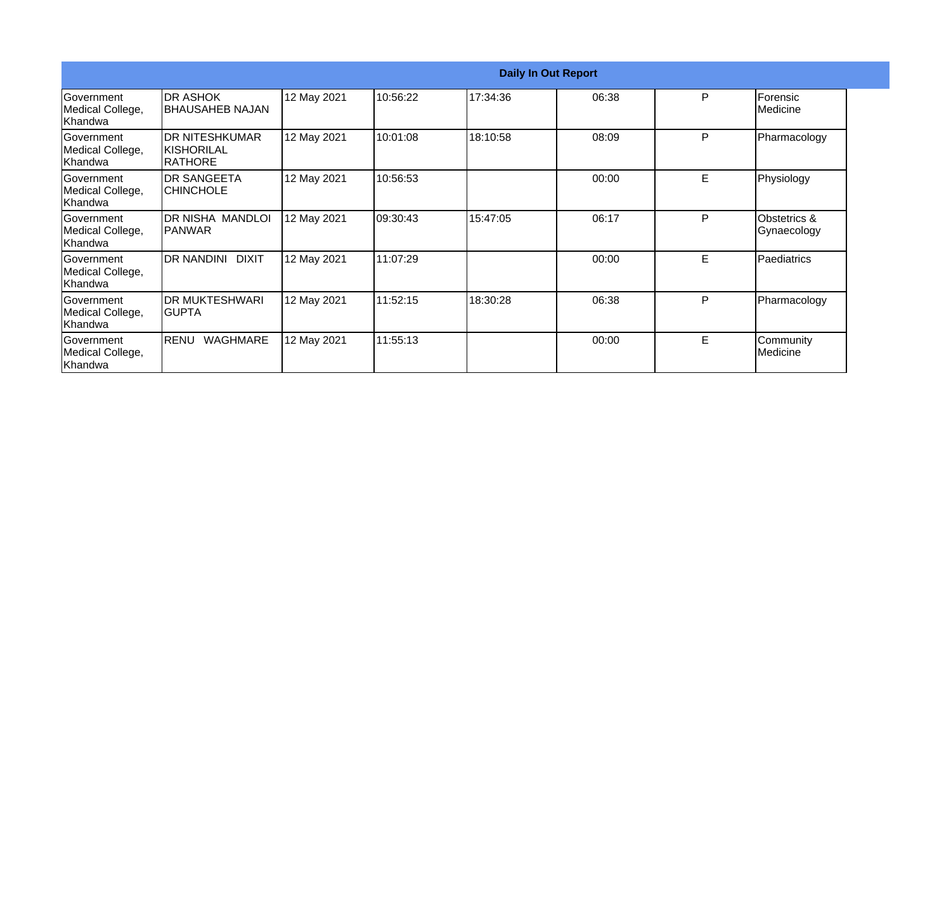|                                                  |                                                        |             |          |          | <b>Daily In Out Report</b> |   |                             |
|--------------------------------------------------|--------------------------------------------------------|-------------|----------|----------|----------------------------|---|-----------------------------|
| Government<br>Medical College,<br>Khandwa        | <b>DR ASHOK</b><br><b>I</b> BHAUSAHEB NAJAN            | 12 May 2021 | 10:56:22 | 17:34:36 | 06:38                      | P | Forensic<br>Medicine        |
| <b>Sovernment</b><br>Medical College,<br>Khandwa | <b>DR NITESHKUMAR</b><br>IKISHORILAL<br><b>RATHORE</b> | 12 May 2021 | 10:01:08 | 18:10:58 | 08:09                      | P | Pharmacology                |
| Government<br>Medical College,<br>Khandwa        | <b>DR SANGEETA</b><br><b>CHINCHOLE</b>                 | 12 May 2021 | 10:56:53 |          | 00:00                      | E | Physiology                  |
| Government<br>Medical College,<br>Khandwa        | DR NISHA MANDLOI<br><b>IPANWAR</b>                     | 12 May 2021 | 09:30:43 | 15:47:05 | 06:17                      | P | Obstetrics &<br>Gynaecology |
| Government<br>Medical College,<br>Khandwa        | <b>DR NANDINI</b><br><b>DIXIT</b>                      | 12 May 2021 | 11:07:29 |          | 00:00                      | E | Paediatrics                 |
| Government<br>Medical College,<br>Khandwa        | <b>DR MUKTESHWARI</b><br>IGUPTA                        | 12 May 2021 | 11:52:15 | 18:30:28 | 06:38                      | P | Pharmacology                |
| <b>Sovernment</b><br>Medical College,<br>Khandwa | WAGHMARE<br>RENU                                       | 12 May 2021 | 11:55:13 |          | 00:00                      | E | Community<br>Medicine       |